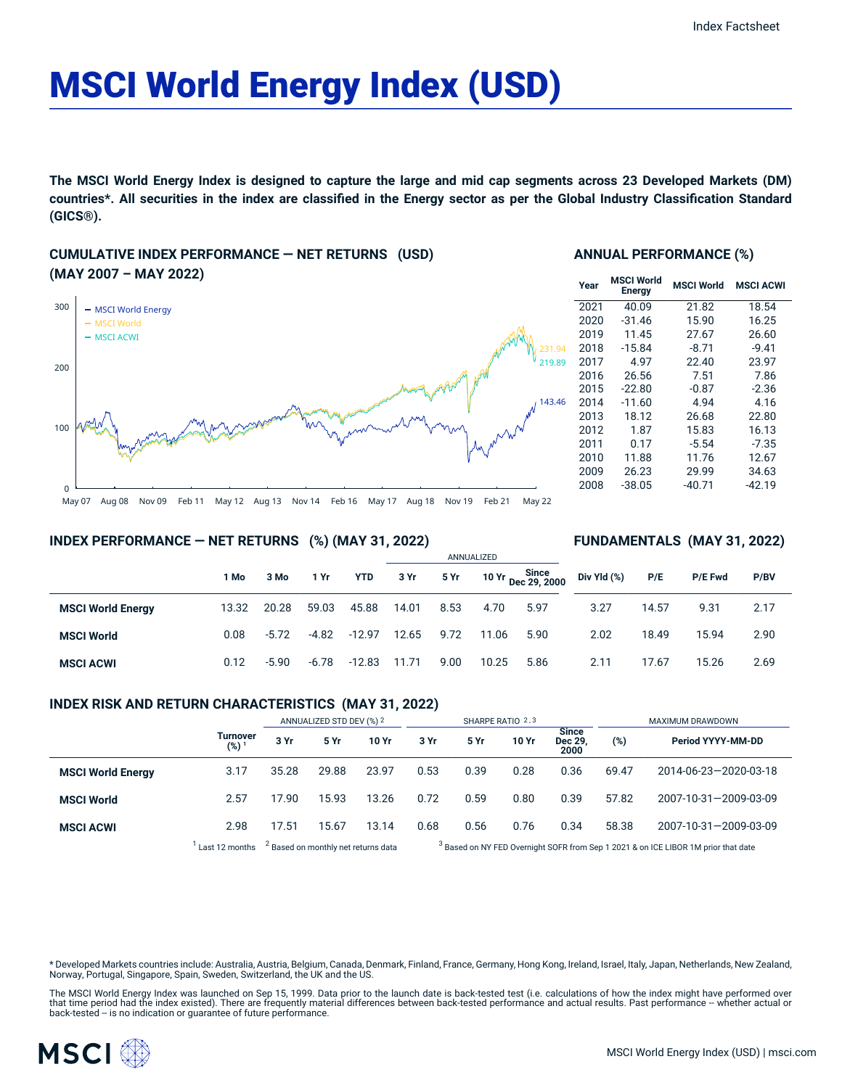# MSCI World Energy Index (USD)

The MSCI World Energy Index is designed to capture the large and mid cap segments across 23 Developed Markets (DM) countries\*. All securities in the index are classified in the Energy sector as per the Global Industry Classification Standard **(GICS®).**

## **CUMULATIVE INDEX PERFORMANCE — NET RETURNS (USD) (MAY 2007 – MAY 2022)**



#### **ANNUAL PERFORMANCE (%)**

| Year | <b>MSCI World</b><br><b>Energy</b> | <b>MSCI World</b> | <b>MSCI ACWI</b> |
|------|------------------------------------|-------------------|------------------|
| 2021 | 40.09                              | 21.82             | 18.54            |
| 2020 | $-31.46$                           | 15.90             | 16.25            |
| 2019 | 11.45                              | 27.67             | 26.60            |
| 2018 | $-15.84$                           | $-8.71$           | $-9.41$          |
| 2017 | 4.97                               | 22.40             | 23.97            |
| 2016 | 26.56                              | 7.51              | 7.86             |
| 2015 | $-22.80$                           | $-0.87$           | $-2.36$          |
| 2014 | $-11.60$                           | 4.94              | 4.16             |
| 2013 | 18.12                              | 26.68             | 22.80            |
| 2012 | 1.87                               | 15.83             | 16.13            |
| 2011 | 0.17                               | $-5.54$           | $-7.35$          |
| 2010 | 11.88                              | 11.76             | 12.67            |
| 2009 | 26.23                              | 29.99             | 34.63            |
| 2008 | $-38.05$                           | $-40.71$          | $-42.19$         |

**FUNDAMENTALS (MAY 31, 2022)**

#### **INDEX PERFORMANCE — NET RETURNS (%) (MAY 31, 2022)**

#### ANNUALIZED **1 Mo 3 Mo 1 Yr YTD 3 Yr 5 Yr 10 Yr Since Dec 29, 2000 MSCI World Energy** 13.32 20.28 59.03 45.88 14.01 8.53 4.70 5.97 **MSCI World** 0.08 -5.72 -4.82 -12.97 12.65 9.72 11.06 5.90 **MSCI ACWI** 0.12 -5.90 -6.78 -12.83 11.71 9.00 10.25 5.86 **Div Yld (%) P/E P/E Fwd P/BV** 3.27 14.57 9.31 2.17 2.02 18.49 15.94 2.90 2.11 17.67 15.26 2.69

#### **INDEX RISK AND RETURN CHARACTERISTICS (MAY 31, 2022)**

|                          |                                     | ANNUALIZED STD DEV (%) 2                       |       | SHARPE RATIO 2,3 |                                                                                               |      |       | MAXIMUM DRAWDOWN                |       |                       |
|--------------------------|-------------------------------------|------------------------------------------------|-------|------------------|-----------------------------------------------------------------------------------------------|------|-------|---------------------------------|-------|-----------------------|
|                          | <b>Turnover</b><br>(%) <sup>1</sup> | 3 Yr                                           | 5 Yr  | 10 Yr            | 3 Yr                                                                                          | 5 Yr | 10 Yr | <b>Since</b><br>Dec 29.<br>2000 | (%)   | Period YYYY-MM-DD     |
| <b>MSCI World Energy</b> | 3.17                                | 35.28                                          | 29.88 | 23.97            | 0.53                                                                                          | 0.39 | 0.28  | 0.36                            | 69.47 | 2014-06-23-2020-03-18 |
| <b>MSCI World</b>        | 2.57                                | 17.90                                          | 15.93 | 13.26            | 0.72                                                                                          | 0.59 | 0.80  | 0.39                            | 57.82 | 2007-10-31-2009-03-09 |
| <b>MSCI ACWI</b>         | 2.98                                | 17.51                                          | 15.67 | 13.14            | 0.68                                                                                          | 0.56 | 0.76  | 0.34                            | 58.38 | 2007-10-31-2009-03-09 |
|                          | Last 12 months                      | <sup>2</sup> Based on monthly net returns data |       |                  | <sup>3</sup> Based on NY FED Overnight SOFR from Sep 1 2021 & on ICE LIBOR 1M prior that date |      |       |                                 |       |                       |

ased on NY FED Overnight SOFR from Sep 1 2021 & on ICE LIBOR 1M prior that date

\* Developed Markets countries include: Australia, Austria, Belgium, Canada, Denmark, Finland, France, Germany, Hong Kong, Ireland, Israel, Italy, Japan, Netherlands, New Zealand, Norway, Portugal, Singapore, Spain, Sweden, Switzerland, the UK and the US.

The MSCI World Energy Index was launched on Sep 15, 1999. Data prior to the launch date is back-tested test (i.e. calculations of how the index might have performed over that time period had the index existed). There are frequently material differences between back-tested performance and actual results. Past performance -- whether actual or<br>back-tested -- is no indication or guarantee of f

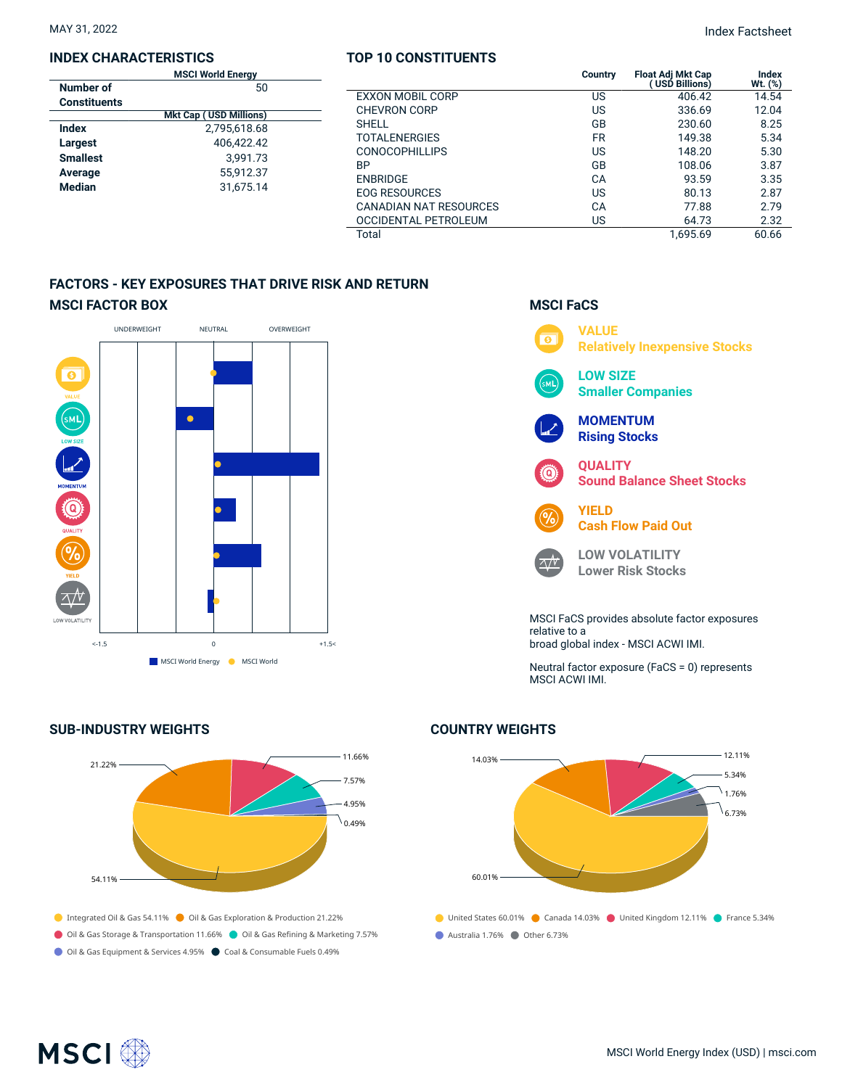#### **INDEX CHARACTERISTICS**

| <b>MSCI World Energy</b> |                               |  |  |  |
|--------------------------|-------------------------------|--|--|--|
| Number of                | 50                            |  |  |  |
| <b>Constituents</b>      |                               |  |  |  |
|                          | <b>Mkt Cap (USD Millions)</b> |  |  |  |
| Index                    | 2,795,618.68                  |  |  |  |
| Largest                  | 406.422.42                    |  |  |  |
| <b>Smallest</b>          | 3.991.73                      |  |  |  |
| Average                  | 55.912.37                     |  |  |  |
| <b>Median</b>            | 31.675.14                     |  |  |  |
|                          |                               |  |  |  |

#### **TOP 10 CONSTITUENTS**

MAY 31, 2022 Index Factsheet

| <b>MSCI World Energy</b>                                         |                         | Country   | <b>Float Adj Mkt Cap</b><br>(USD Billions) | <b>Index</b><br>Wt. (%) |
|------------------------------------------------------------------|-------------------------|-----------|--------------------------------------------|-------------------------|
| 50                                                               | <b>EXXON MOBIL CORP</b> | US        | 406.42                                     | 14.54                   |
| <b>Akt Cap ( USD Millions)</b>                                   | <b>CHEVRON CORP</b>     | US        | 336.69                                     | 12.04                   |
| 2,795,618.68<br>406.422.42<br>3.991.73<br>55,912.37<br>31,675.14 | <b>SHELL</b>            | GB        | 230.60                                     | 8.25                    |
|                                                                  | <b>TOTALENERGIES</b>    | <b>FR</b> | 149.38                                     | 5.34                    |
|                                                                  | <b>CONOCOPHILLIPS</b>   | US        | 148.20                                     | 5.30                    |
|                                                                  | <b>BP</b>               | GB        | 108.06                                     | 3.87                    |
|                                                                  | <b>ENBRIDGE</b>         | CA        | 93.59                                      | 3.35                    |
|                                                                  | <b>EOG RESOURCES</b>    | US        | 80.13                                      | 2.87                    |
|                                                                  | CANADIAN NAT RESOURCES  | CА        | 77.88                                      | 2.79                    |
|                                                                  | OCCIDENTAL PETROLEUM    | US        | 64.73                                      | 2.32                    |
|                                                                  | Total                   |           | 1.695.69                                   | 60.66                   |

## **FACTORS - KEY EXPOSURES THAT DRIVE RISK AND RETURN MSCI FACTOR BOX**



## **SUB-INDUSTRY WEIGHTS**





## **COUNTRY WEIGHTS**